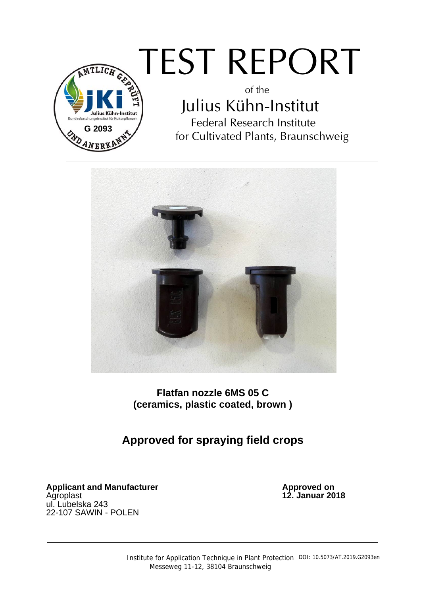

# TEST REPORT

of the Julius Kühn-Institut Federal Research Institute for Cultivated Plants, Braunschweig



**Flatfan nozzle 6MS 05 C (ceramics, plastic coated, brown )** 

**Approved for spraying field crops** 

**Applicant and Manufacturer**<br>Agroplast ul. Lubelska 243 22-107 SAWIN - POLEN

Approved on<br>12. Januar 2018